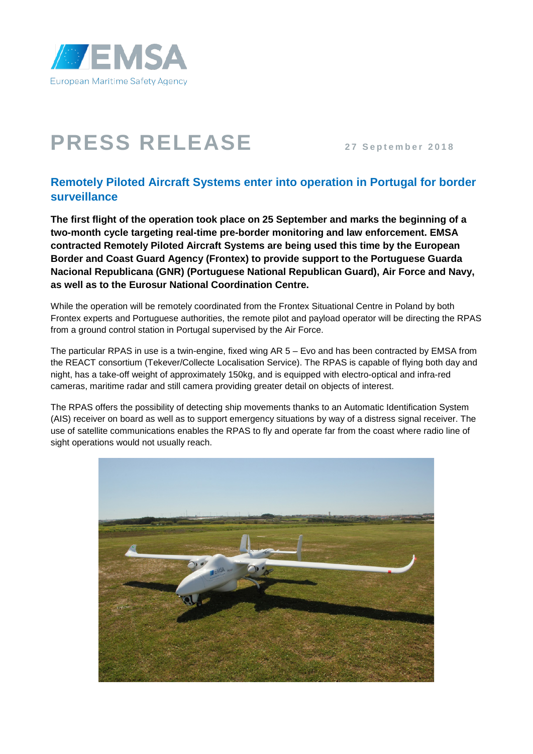

## **PRESS RELEASE** 27 September 2018

## **Remotely Piloted Aircraft Systems enter into operation in Portugal for border surveillance**

**The first flight of the operation took place on 25 September and marks the beginning of a two-month cycle targeting real-time pre-border monitoring and law enforcement. EMSA contracted Remotely Piloted Aircraft Systems are being used this time by the European Border and Coast Guard Agency (Frontex) to provide support to the Portuguese Guarda Nacional Republicana (GNR) (Portuguese National Republican Guard), Air Force and Navy, as well as to the Eurosur National Coordination Centre.** 

While the operation will be remotely coordinated from the Frontex Situational Centre in Poland by both Frontex experts and Portuguese authorities, the remote pilot and payload operator will be directing the RPAS from a ground control station in Portugal supervised by the Air Force.

The particular RPAS in use is a twin-engine, fixed wing AR 5 – Evo and has been contracted by EMSA from the REACT consortium (Tekever/Collecte Localisation Service). The RPAS is capable of flying both day and night, has a take-off weight of approximately 150kg, and is equipped with electro-optical and infra-red cameras, maritime radar and still camera providing greater detail on objects of interest.

The RPAS offers the possibility of detecting ship movements thanks to an Automatic Identification System (AIS) receiver on board as well as to support emergency situations by way of a distress signal receiver. The use of satellite communications enables the RPAS to fly and operate far from the coast where radio line of sight operations would not usually reach.